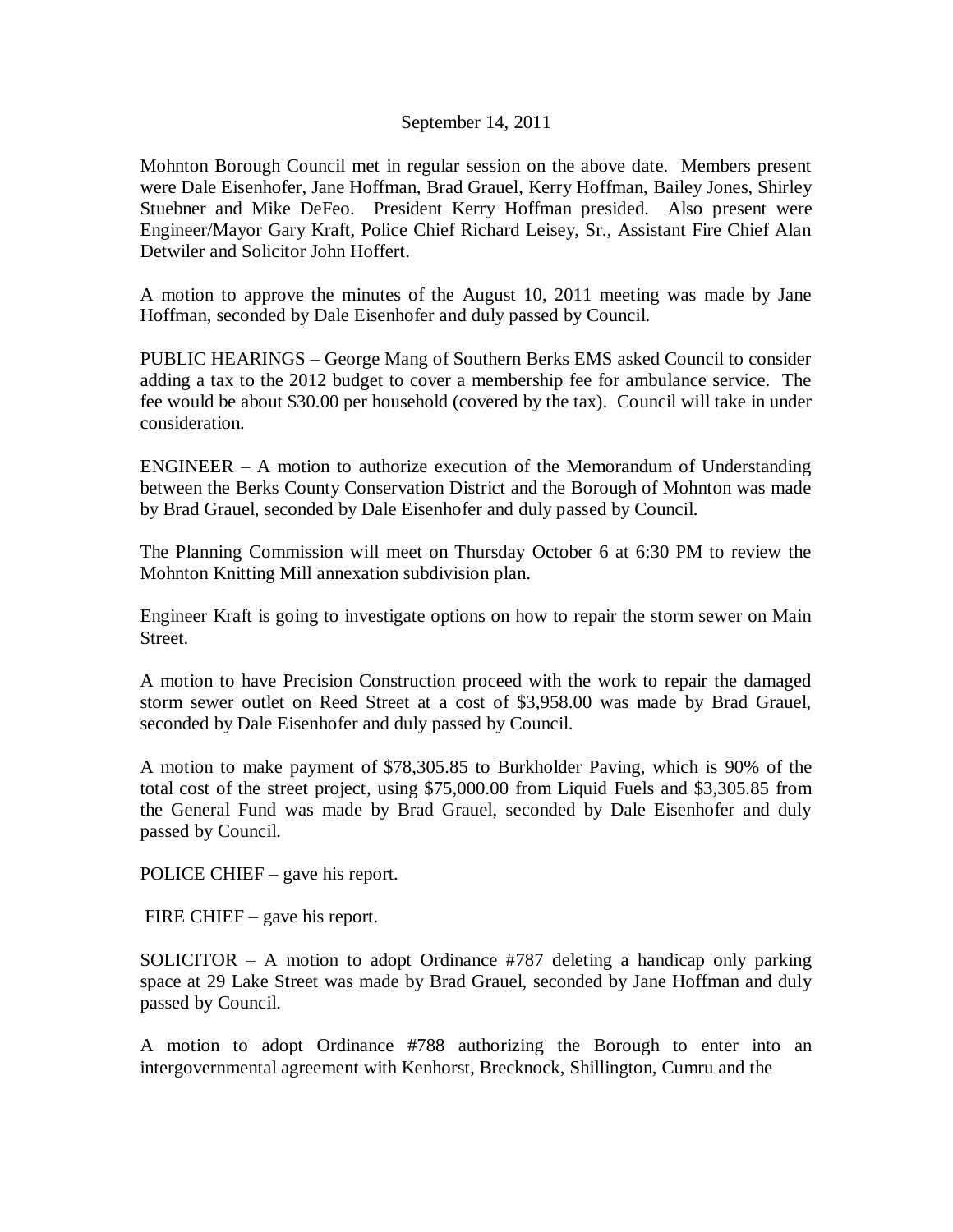## September 14, 2011

Mohnton Borough Council met in regular session on the above date. Members present were Dale Eisenhofer, Jane Hoffman, Brad Grauel, Kerry Hoffman, Bailey Jones, Shirley Stuebner and Mike DeFeo. President Kerry Hoffman presided. Also present were Engineer/Mayor Gary Kraft, Police Chief Richard Leisey, Sr., Assistant Fire Chief Alan Detwiler and Solicitor John Hoffert.

A motion to approve the minutes of the August 10, 2011 meeting was made by Jane Hoffman, seconded by Dale Eisenhofer and duly passed by Council.

PUBLIC HEARINGS – George Mang of Southern Berks EMS asked Council to consider adding a tax to the 2012 budget to cover a membership fee for ambulance service. The fee would be about \$30.00 per household (covered by the tax). Council will take in under consideration.

ENGINEER – A motion to authorize execution of the Memorandum of Understanding between the Berks County Conservation District and the Borough of Mohnton was made by Brad Grauel, seconded by Dale Eisenhofer and duly passed by Council.

The Planning Commission will meet on Thursday October 6 at 6:30 PM to review the Mohnton Knitting Mill annexation subdivision plan.

Engineer Kraft is going to investigate options on how to repair the storm sewer on Main Street.

A motion to have Precision Construction proceed with the work to repair the damaged storm sewer outlet on Reed Street at a cost of \$3,958.00 was made by Brad Grauel, seconded by Dale Eisenhofer and duly passed by Council.

A motion to make payment of \$78,305.85 to Burkholder Paving, which is 90% of the total cost of the street project, using \$75,000.00 from Liquid Fuels and \$3,305.85 from the General Fund was made by Brad Grauel, seconded by Dale Eisenhofer and duly passed by Council.

POLICE CHIEF – gave his report.

FIRE CHIEF – gave his report.

SOLICITOR – A motion to adopt Ordinance #787 deleting a handicap only parking space at 29 Lake Street was made by Brad Grauel, seconded by Jane Hoffman and duly passed by Council.

A motion to adopt Ordinance #788 authorizing the Borough to enter into an intergovernmental agreement with Kenhorst, Brecknock, Shillington, Cumru and the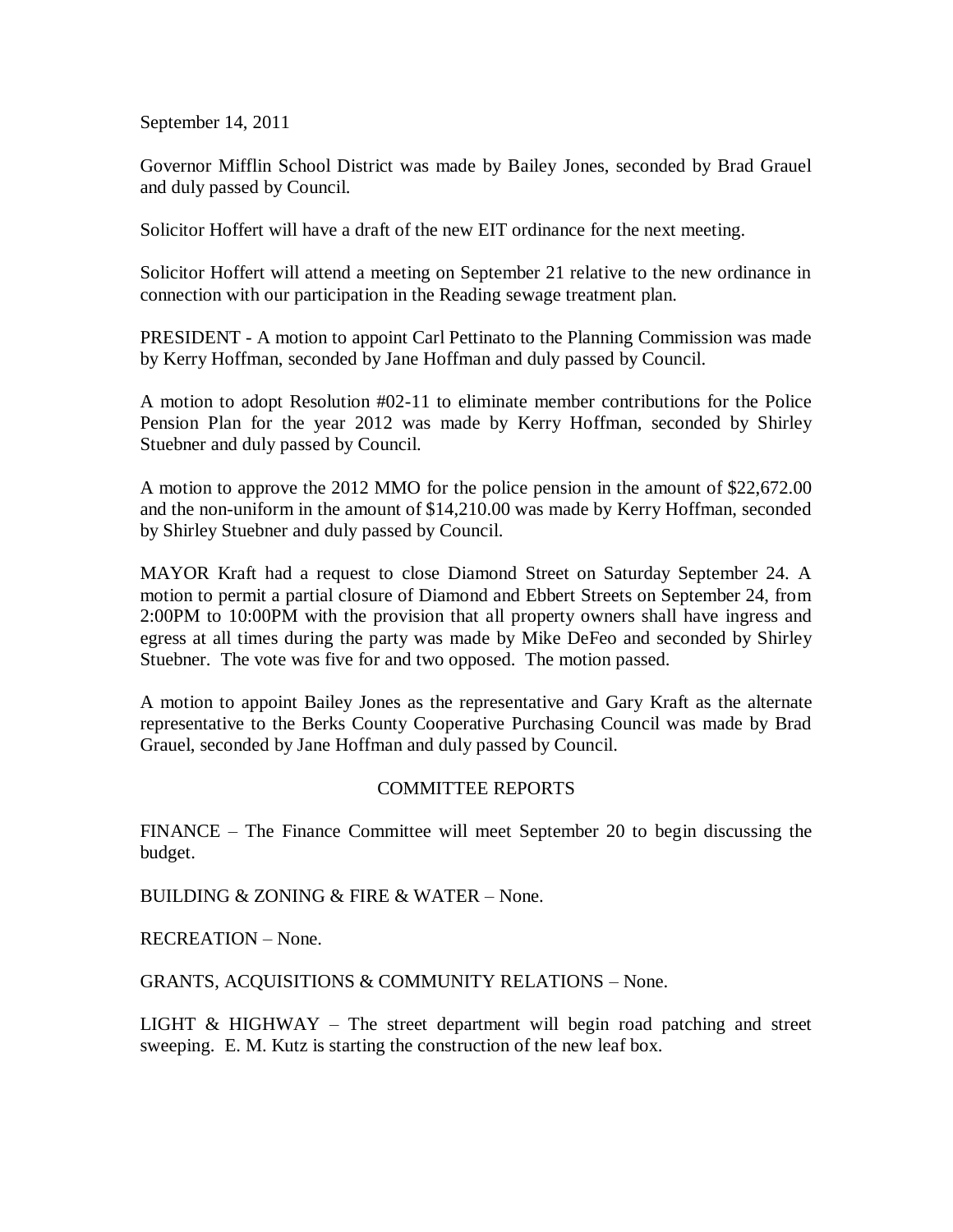September 14, 2011

Governor Mifflin School District was made by Bailey Jones, seconded by Brad Grauel and duly passed by Council.

Solicitor Hoffert will have a draft of the new EIT ordinance for the next meeting.

Solicitor Hoffert will attend a meeting on September 21 relative to the new ordinance in connection with our participation in the Reading sewage treatment plan.

PRESIDENT - A motion to appoint Carl Pettinato to the Planning Commission was made by Kerry Hoffman, seconded by Jane Hoffman and duly passed by Council.

A motion to adopt Resolution #02-11 to eliminate member contributions for the Police Pension Plan for the year 2012 was made by Kerry Hoffman, seconded by Shirley Stuebner and duly passed by Council.

A motion to approve the 2012 MMO for the police pension in the amount of \$22,672.00 and the non-uniform in the amount of \$14,210.00 was made by Kerry Hoffman, seconded by Shirley Stuebner and duly passed by Council.

MAYOR Kraft had a request to close Diamond Street on Saturday September 24. A motion to permit a partial closure of Diamond and Ebbert Streets on September 24, from 2:00PM to 10:00PM with the provision that all property owners shall have ingress and egress at all times during the party was made by Mike DeFeo and seconded by Shirley Stuebner. The vote was five for and two opposed. The motion passed.

A motion to appoint Bailey Jones as the representative and Gary Kraft as the alternate representative to the Berks County Cooperative Purchasing Council was made by Brad Grauel, seconded by Jane Hoffman and duly passed by Council.

## COMMITTEE REPORTS

FINANCE – The Finance Committee will meet September 20 to begin discussing the budget.

BUILDING & ZONING & FIRE & WATER – None.

RECREATION – None.

GRANTS, ACQUISITIONS & COMMUNITY RELATIONS – None.

LIGHT  $& HIGHWAY - The street department will begin road patching and street$ sweeping. E. M. Kutz is starting the construction of the new leaf box.